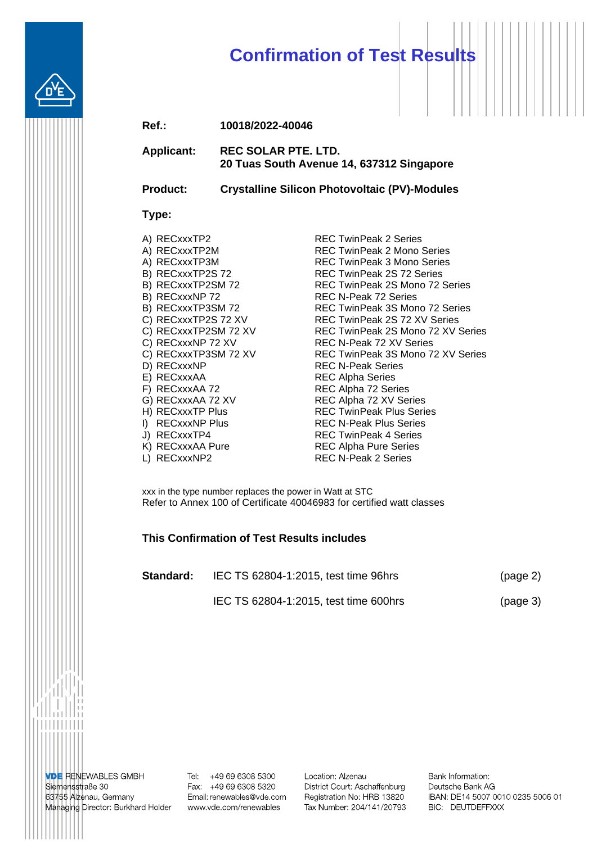# **Confirmation of Test Results**

| Ref.: | 10018/2022-40046 |
|-------|------------------|
|-------|------------------|

**Applicant: REC SOLAR PTE. LTD. 20 Tuas South Avenue 14, 637312 Singapore**

**Product: Crystalline Silicon Photovoltaic (PV)-Modules**

#### **Type:**

| A) RECxxxTP2         |
|----------------------|
| A) RECxxxTP2M        |
| A) RECxxxTP3M        |
| B) RECxxxTP2S 72     |
| B) RECxxxTP2SM 72    |
| B) RECxxxNP 72       |
| B) RECxxxTP3SM72     |
| C) RECxxxTP2S 72 XV  |
| C) RECxxxTP2SM 72 XV |
| C) RECxxxNP 72 XV    |
| C) RECxxxTP3SM 72 XV |
| D) RECxxxNP          |
| E) RECxxxAA          |
| F) RECxxxAA 72       |
| G) RECxxxAA 72 XV    |
| H) RECxxxTP Plus     |
| I) RECxxxNP Plus     |

**REC TwinPeak 2 Series** REC TwinPeak 2 Mono Series REC TwinPeak 3 Mono Series REC TwinPeak 2S 72 Series REC TwinPeak 2S Mono 72 Series REC N-Peak 72 Series REC TwinPeak 3S Mono 72 Series REC TwinPeak 2S 72 XV Series REC TwinPeak 2S Mono 72 XV Series REC N-Peak 72 XV Series REC TwinPeak 3S Mono 72 XV Series REC N-Peak Series REC Alpha Series REC Alpha 72 Series REC Alpha 72 XV Series **REC TwinPeak Plus Series REC N-Peak Plus Series** J) RECxxxTP4 REC TwinPeak 4 Series K) RECxxxAA Pure REC Alpha Pure Series L) RECxxxNP2 REC N-Peak 2 Series

xxx in the type number replaces the power in Watt at STC Refer to Annex 100 of Certificate 40046983 for certified watt classes

#### **This Confirmation of Test Results includes**

| Standard: | IEC TS 62804-1:2015, test time 96hrs  | (page 2) |
|-----------|---------------------------------------|----------|
|           | IEC TS 62804-1:2015, test time 600hrs | (page 3) |

**VDE RENEWABLES GMBH** Siemensstraße 30 63755 Alzenau, Germany Managing Director: Burkhard Holder www.vde.com/renewables

Tel: +49 69 6308 5300 Fax: +49 69 6308 5320 Email: renewables@vde.com Location: Alzenau District Court: Aschaffenburg Registration No: HRB 13820 Tax Number: 204/141/20793

Bank Information: Deutsche Bank AG IBAN: DE14 5007 0010 0235 5006 01 BIC: DEUTDEFFXXX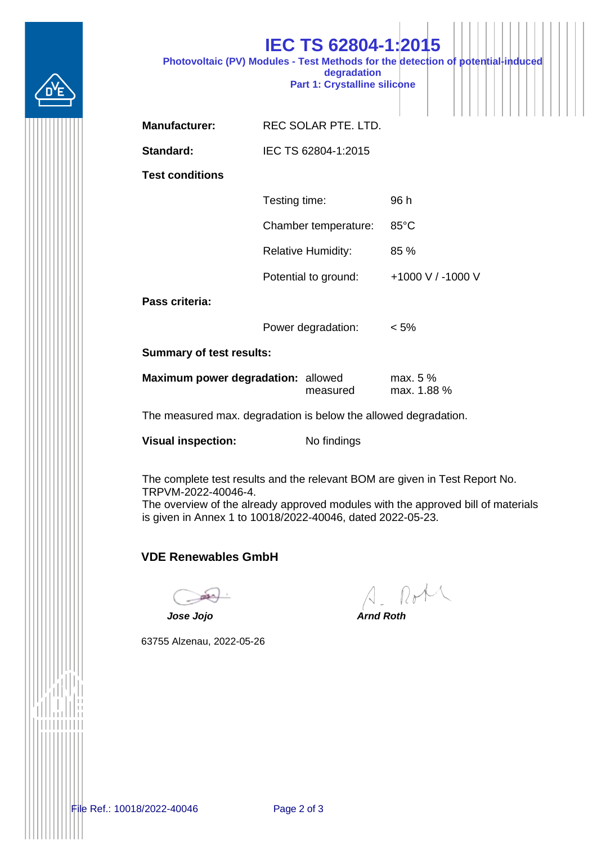

|                        | <b>IEC TS 62804-1:2015</b>                                                                                                            |  |  |  |  |  |
|------------------------|---------------------------------------------------------------------------------------------------------------------------------------|--|--|--|--|--|
|                        | Photovoltaic (PV) Modules - Test Methods for the detection of potential-induced<br>degradation<br><b>Part 1: Crystalline silicone</b> |  |  |  |  |  |
|                        |                                                                                                                                       |  |  |  |  |  |
| <b>Manufacturer:</b>   | REC SOLAR PTE. LTD.                                                                                                                   |  |  |  |  |  |
| Standard:              | IEC TS 62804-1:2015                                                                                                                   |  |  |  |  |  |
| <b>Test conditions</b> |                                                                                                                                       |  |  |  |  |  |

| Testing time:             | 96 h              |
|---------------------------|-------------------|
| Chamber temperature:      | $85^{\circ}$ C    |
| <b>Relative Humidity:</b> | $85\%$            |
| Potential to ground:      | +1000 V / -1000 V |
|                           |                   |

**Pass criteria:**

Power degradation: < 5%

**Summary of test results:**

| Maximum power degradation: allowed |          | max. $5\%$  |  |  |  |
|------------------------------------|----------|-------------|--|--|--|
|                                    | measured | max. 1.88 % |  |  |  |

The measured max. degradation is below the allowed degradation.

**Visual inspection:** No findings

The complete test results and the relevant BOM are given in Test Report No. TRPVM-2022-40046-4.

The overview of the already approved modules with the approved bill of materials is given in Annex 1 to 10018/2022-40046, dated 2022-05-23.

## **VDE Renewables GmbH**

63755 Alzenau, 2022-05-26

A. Rote

*Jose Jojo Arnd Roth*